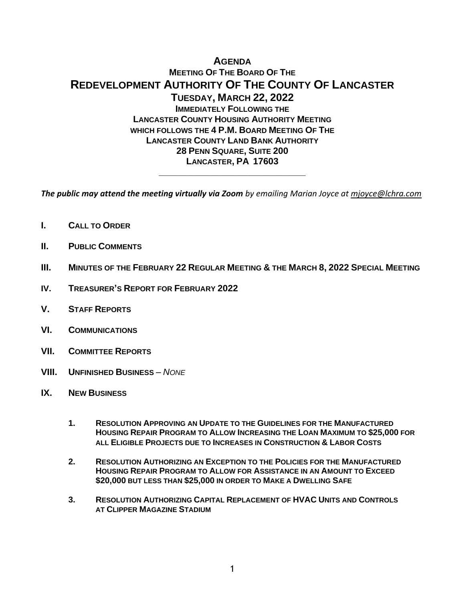# **AGENDA MEETING OF THE BOARD OF THE REDEVELOPMENT AUTHORITY OF THE COUNTY OF LANCASTER TUESDAY, MARCH 22, 2022 IMMEDIATELY FOLLOWING THE LANCASTER COUNTY HOUSING AUTHORITY MEETING WHICH FOLLOWS THE 4 P.M. BOARD MEETING OF THE LANCASTER COUNTY LAND BANK AUTHORITY 28 PENN SQUARE, SUITE 200 LANCASTER, PA 17603**

*The public may attend the meeting virtually via Zoom by emailing Marian Joyce at [mjoyce@lchra.com](mailto:mjoyce@lchra.com)* 

**\_\_\_\_\_\_\_\_\_\_\_\_\_\_\_\_\_\_\_\_\_\_\_\_\_\_\_\_\_**

- **I. CALL TO ORDER**
- **II. PUBLIC COMMENTS**
- **III. MINUTES OF THE FEBRUARY 22 REGULAR MEETING & THE MARCH 8, 2022 SPECIAL MEETING**
- **IV. TREASURER'S REPORT FOR FEBRUARY 2022**
- **V. STAFF REPORTS**
- **VI. COMMUNICATIONS**
- **VII. COMMITTEE REPORTS**
- **VIII. UNFINISHED BUSINESS** *– NONE*
- **IX. NEW BUSINESS**
	- **1. RESOLUTION APPROVING AN UPDATE TO THE GUIDELINES FOR THE MANUFACTURED HOUSING REPAIR PROGRAM TO ALLOW INCREASING THE LOAN MAXIMUM TO \$25,000 FOR ALL ELIGIBLE PROJECTS DUE TO INCREASES IN CONSTRUCTION & LABOR COSTS**
	- **2. RESOLUTION AUTHORIZING AN EXCEPTION TO THE POLICIES FOR THE MANUFACTURED HOUSING REPAIR PROGRAM TO ALLOW FOR ASSISTANCE IN AN AMOUNT TO EXCEED \$20,000 BUT LESS THAN \$25,000 IN ORDER TO MAKE A DWELLING SAFE**
	- **3. RESOLUTION AUTHORIZING CAPITAL REPLACEMENT OF HVAC UNITS AND CONTROLS AT CLIPPER MAGAZINE STADIUM**